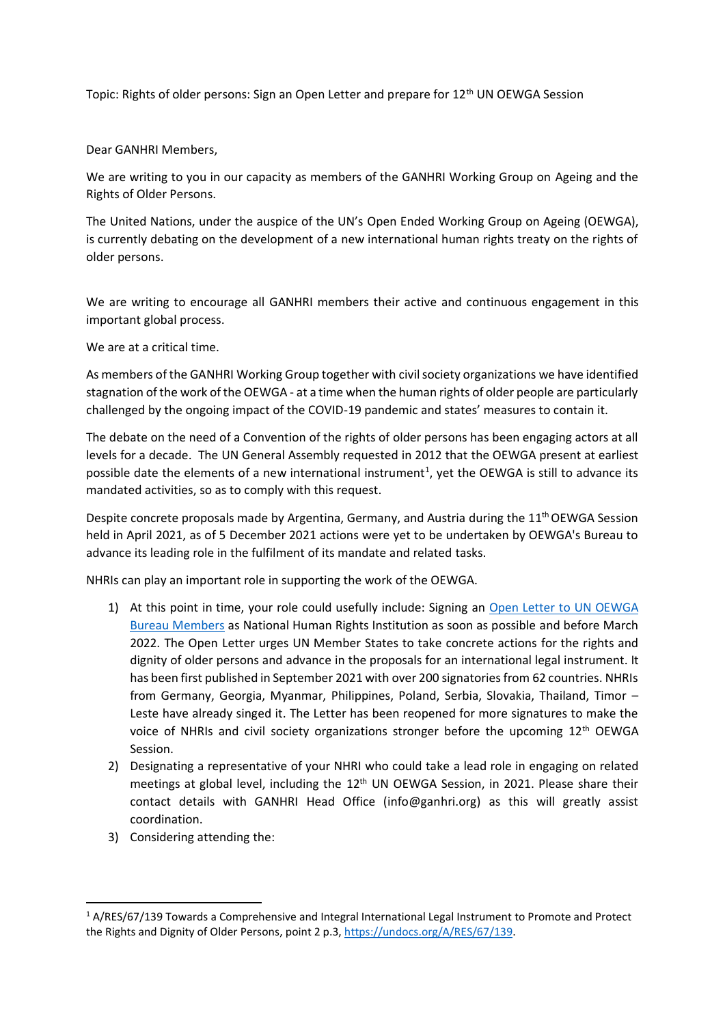Topic: Rights of older persons: Sign an Open Letter and prepare for  $12<sup>th</sup>$  UN OEWGA Session

Dear GANHRI Members,

We are writing to you in our capacity as members of the GANHRI Working Group on Ageing and the Rights of Older Persons.

The United Nations, under the auspice of the UN's Open Ended Working Group on Ageing (OEWGA), is currently debating on the development of a new international human rights treaty on the rights of older persons.

We are writing to encourage all GANHRI members their active and continuous engagement in this important global process.

We are at a critical time.

As members of the GANHRI Working Group together with civil society organizations we have identified stagnation of the work of the OEWGA - at a time when the human rights of older people are particularly challenged by the ongoing impact of the COVID-19 pandemic and states' measures to contain it.

The debate on the need of a Convention of the rights of older persons has been engaging actors at all levels for a decade. The UN General Assembly requested in 2012 that the OEWGA present at earliest possible date the elements of a new international instrument<sup>1</sup>, yet the OEWGA is still to advance its mandated activities, so as to comply with this request.

Despite concrete proposals made by Argentina, Germany, and Austria during the 11<sup>th</sup> OEWGA Session held in April 2021, as of 5 December 2021 actions were yet to be undertaken by OEWGA's Bureau to advance its leading role in the fulfilment of its mandate and related tasks.

NHRIs can play an important role in supporting the work of the OEWGA.

- 1) At this point in time, your role could usefully include: Signing an [Open Letter to UN OEWGA](https://rightsofolderpeople.org/open-letter-to-the-un-general-assemblys-open-ended-working-group-on-ageing/)  [Bureau Members](https://rightsofolderpeople.org/open-letter-to-the-un-general-assemblys-open-ended-working-group-on-ageing/) as National Human Rights Institution as soon as possible and before March 2022. The Open Letter urges UN Member States to take concrete actions for the rights and dignity of older persons and advance in the proposals for an international legal instrument. It has been first published in September 2021 with over 200 signatories from 62 countries. NHRIs from Germany, Georgia, Myanmar, Philippines, Poland, Serbia, Slovakia, Thailand, Timor – Leste have already singed it. The Letter has been reopened for more signatures to make the voice of NHRIs and civil society organizations stronger before the upcoming 12<sup>th</sup> OEWGA Session.
- 2) Designating a representative of your NHRI who could take a lead role in engaging on related meetings at global level, including the  $12<sup>th</sup>$  UN OEWGA Session, in 2021. Please share their contact details with GANHRI Head Office (info@ganhri.org) as this will greatly assist coordination.
- 3) Considering attending the:

<sup>1</sup> A/RES/67/139 Towards a Comprehensive and Integral International Legal Instrument to Promote and Protect the Rights and Dignity of Older Persons, point 2 p.3, [https://undocs.org/A/RES/67/139.](https://undocs.org/A/RES/67/139)